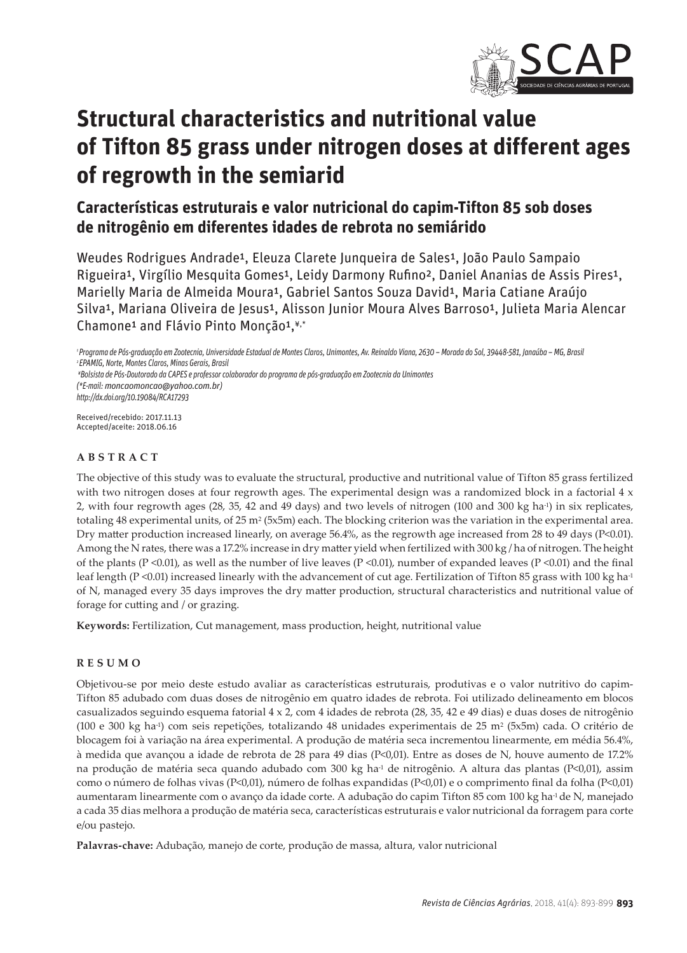

# **Structural characteristics and nutritional value of Tifton 85 grass under nitrogen doses at different ages of regrowth in the semiarid**

# **Características estruturais e valor nutricional do capim-Tifton 85 sob doses de nitrogênio em diferentes idades de rebrota no semiárido**

Weudes Rodrigues Andrade<sup>1</sup>, Eleuza Clarete Junqueira de Sales<sup>1</sup>, João Paulo Sampaio Rigueira<sup>1</sup>, Virgílio Mesquita Gomes<sup>1</sup>, Leidy Darmony Rufino<sup>2</sup>, Daniel Ananias de Assis Pires<sup>1</sup>, Marielly Maria de Almeida Moura<sup>1</sup>, Gabriel Santos Souza David<sup>1</sup>, Maria Catiane Araújo Silva<sup>1</sup>, Mariana Oliveira de Jesus<sup>1</sup>, Alisson Junior Moura Alves Barroso<sup>1</sup>, Julieta Maria Alencar Chamone<sup>1</sup> and Flávio Pinto Monção<sup>1,¥,\*</sup>

*http://dx.doi.org/10.19084/RCA17293*

Received/recebido: 2017.11.13 Accepted/aceite: 2018.06.16

# **ABSTRACT**

The objective of this study was to evaluate the structural, productive and nutritional value of Tifton 85 grass fertilized with two nitrogen doses at four regrowth ages. The experimental design was a randomized block in a factorial  $4 \times$ 2, with four regrowth ages (28, 35, 42 and 49 days) and two levels of nitrogen (100 and 300 kg ha-1) in six replicates, totaling 48 experimental units, of  $25 \text{ m}^2$  (5x5m) each. The blocking criterion was the variation in the experimental area. Dry matter production increased linearly, on average 56.4%, as the regrowth age increased from 28 to 49 days (P<0.01). Among the N rates, there was a 17.2% increase in dry matter yield when fertilized with 300 kg / ha of nitrogen. The height of the plants (P <0.01), as well as the number of live leaves (P <0.01), number of expanded leaves (P <0.01) and the final leaf length (P <0.01) increased linearly with the advancement of cut age. Fertilization of Tifton 85 grass with 100 kg ha<sup>-1</sup> of N, managed every 35 days improves the dry matter production, structural characteristics and nutritional value of forage for cutting and / or grazing.

**Keywords:** Fertilization, Cut management, mass production, height, nutritional value

#### **RESUMO**

Objetivou-se por meio deste estudo avaliar as características estruturais, produtivas e o valor nutritivo do capim-Tifton 85 adubado com duas doses de nitrogênio em quatro idades de rebrota. Foi utilizado delineamento em blocos casualizados seguindo esquema fatorial 4 x 2, com 4 idades de rebrota (28, 35, 42 e 49 dias) e duas doses de nitrogênio (100 e 300 kg ha-1) com seis repetições, totalizando 48 unidades experimentais de 25 m2 (5x5m) cada. O critério de blocagem foi à variação na área experimental. A produção de matéria seca incrementou linearmente, em média 56.4%, à medida que avançou a idade de rebrota de 28 para 49 dias (P<0,01). Entre as doses de N, houve aumento de 17.2% na produção de matéria seca quando adubado com 300 kg ha<sup>1</sup> de nitrogênio. A altura das plantas (P<0,01), assim como o número de folhas vivas (P<0,01), número de folhas expandidas (P<0,01) e o comprimento final da folha (P<0,01) aumentaram linearmente com o avanço da idade corte. A adubação do capim Tifton 85 com 100 kg ha-1de N, manejado a cada 35 dias melhora a produção de matéria seca, características estruturais e valor nutricional da forragem para corte e/ou pastejo.

**Palavras-chave:** Adubação, manejo de corte, produção de massa, altura, valor nutricional

*¹ Programa de Pós-graduação em Zootecnia, Universidade Estadual de Montes Claros, Unimontes, Av. Reinaldo Viana, 2630 – Morada do Sol, 39448-581, Janaúba – MG, Brasil ² EPAMIG, Norte, Montes Claros, Minas Gerais, Brasil*

*<sup>¥</sup>Bolsista de Pós-Doutorado da CAPES e professor colaborador do programa de pós-graduação em Zootecnia da Unimontes (\*E-mail: moncaomoncao@yahoo.com.br)*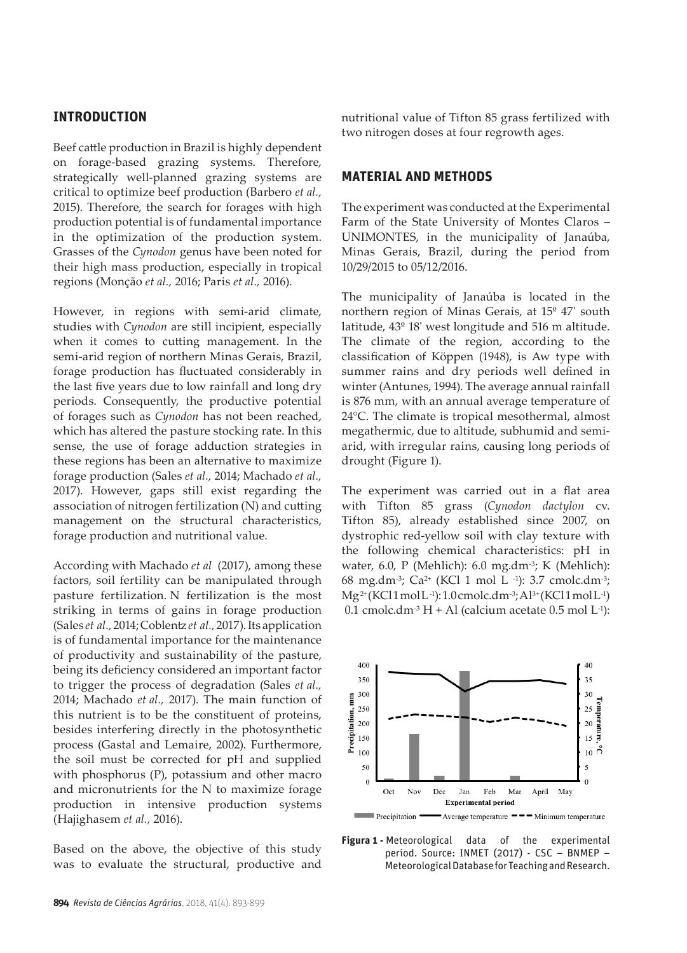# **INTRODUCTION**

Beef cattle production in Brazil is highly dependent on forage-based grazing systems. Therefore, strategically well-planned grazing systems are critical to optimize beef production (Barbero *et al.,* 2015). Therefore, the search for forages with high production potential is of fundamental importance in the optimization of the production system. Grasses of the *Cynodon* genus have been noted for their high mass production, especially in tropical regions (Monção *et al.,* 2016; Paris *et al.,* 2016).

However, in regions with semi-arid climate, studies with *Cynodon* are still incipient, especially when it comes to cutting management. In the semi-arid region of northern Minas Gerais, Brazil, forage production has fluctuated considerably in the last five years due to low rainfall and long dry periods. Consequently, the productive potential of forages such as *Cynodon* has not been reached, which has altered the pasture stocking rate. In this sense, the use of forage adduction strategies in these regions has been an alternative to maximize forage production (Sales *et al.,* 2014; Machado *et al.,* 2017). However, gaps still exist regarding the association of nitrogen fertilization (N) and cutting management on the structural characteristics, forage production and nutritional value.

According with Machado *et al* (2017), among these factors, soil fertility can be manipulated through pasture fertilization. N fertilization is the most striking in terms of gains in forage production (Sales *et al.,* 2014; Coblentz *et al.,* 2017). Its application is of fundamental importance for the maintenance of productivity and sustainability of the pasture, being its deficiency considered an important factor to trigger the process of degradation (Sales *et al.,* 2014; Machado *et al.,* 2017). The main function of this nutrient is to be the constituent of proteins, besides interfering directly in the photosynthetic process (Gastal and Lemaire, 2002). Furthermore, the soil must be corrected for pH and supplied with phosphorus (P), potassium and other macro and micronutrients for the N to maximize forage production in intensive production systems (Hajighasem *et al.,* 2016).

Based on the above, the objective of this study was to evaluate the structural, productive and nutritional value of Tifton 85 grass fertilized with two nitrogen doses at four regrowth ages.

# **MATERIAL AND METHODS**

The experiment was conducted at the Experimental Farm of the State University of Montes Claros – UNIMONTES, in the municipality of Janaúba, Minas Gerais, Brazil, during the period from 10/29/2015 to 05/12/2016.

The municipality of Janaúba is located in the northern region of Minas Gerais, at 15º 47' south latitude, 43º 18' west longitude and 516 m altitude. The climate of the region, according to the classification of Köppen (1948), is Aw type with summer rains and dry periods well defined in winter (Antunes, 1994). The average annual rainfall is 876 mm, with an annual average temperature of 24°C. The climate is tropical mesothermal, almost megathermic, due to altitude, subhumid and semiarid, with irregular rains, causing long periods of drought (Figure 1).

The experiment was carried out in a flat area with Tifton 85 grass (*Cynodon dactylon* cv. Tifton 85), already established since 2007, on dystrophic red-yellow soil with clay texture with the following chemical characteristics: pH in water, 6.0, P (Mehlich): 6.0 mg.dm-3; K (Mehlich): 68 mg.dm-3; Ca2+ (KCl 1 mol L -1): 3.7 cmolc.dm-3; Mg2+ (KCl1mol L-1): 1.0cmolc.dm-3; Al3+ (KCl1mol L-1) 0.1 cmolc.dm<sup>-3</sup> H + Al (calcium acetate 0.5 mol L<sup>-1</sup>):



**Figura 1 -** Meteorological data of the experimental period. Source: INMET (2017) - CSC – BNMEP – Meteorological Database for Teaching and Research.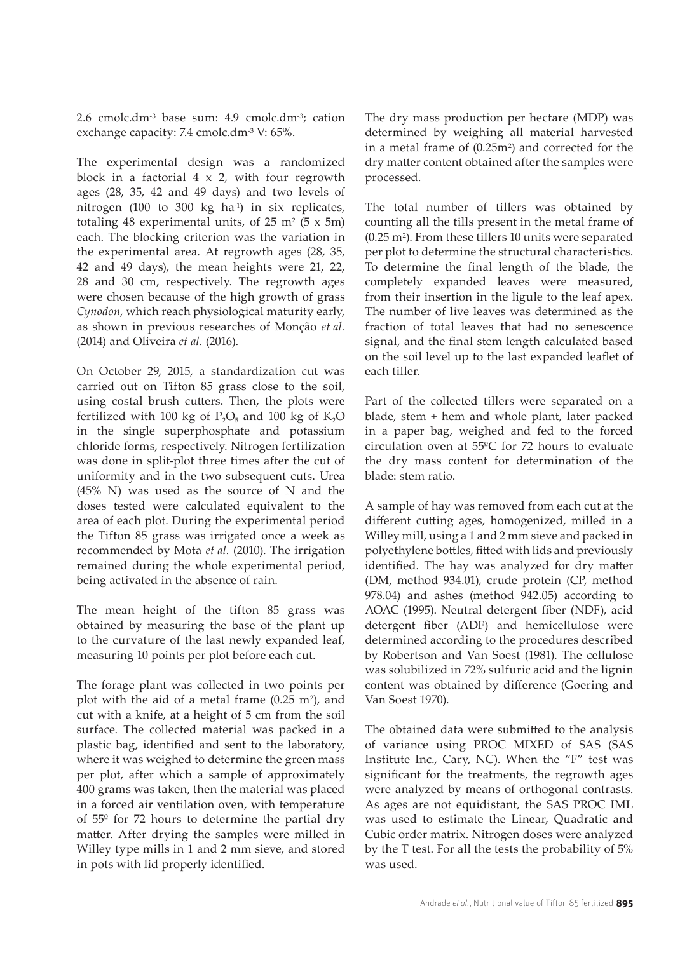2.6 cmolc.dm-3 base sum: 4.9 cmolc.dm-3; cation exchange capacity: 7.4 cmolc.dm<sup>-3</sup> V: 65%.

The experimental design was a randomized block in a factorial  $4 \times 2$ , with four regrowth ages (28, 35, 42 and 49 days) and two levels of nitrogen (100 to 300 kg ha-1) in six replicates, totaling 48 experimental units, of 25 m<sup>2</sup> ( $5 \times 5$ m) each. The blocking criterion was the variation in the experimental area. At regrowth ages (28, 35, 42 and 49 days), the mean heights were 21, 22, 28 and 30 cm, respectively. The regrowth ages were chosen because of the high growth of grass *Cynodon*, which reach physiological maturity early, as shown in previous researches of Monção *et al.* (2014) and Oliveira *et al.* (2016).

On October 29, 2015, a standardization cut was carried out on Tifton 85 grass close to the soil, using costal brush cutters. Then, the plots were fertilized with 100 kg of  $P_2O_5$  and 100 kg of K<sub>2</sub>O in the single superphosphate and potassium chloride forms, respectively. Nitrogen fertilization was done in split-plot three times after the cut of uniformity and in the two subsequent cuts. Urea (45% N) was used as the source of N and the doses tested were calculated equivalent to the area of each plot. During the experimental period the Tifton 85 grass was irrigated once a week as recommended by Mota *et al.* (2010). The irrigation remained during the whole experimental period, being activated in the absence of rain.

The mean height of the tifton 85 grass was obtained by measuring the base of the plant up to the curvature of the last newly expanded leaf, measuring 10 points per plot before each cut.

The forage plant was collected in two points per plot with the aid of a metal frame (0.25 m2), and cut with a knife, at a height of 5 cm from the soil surface. The collected material was packed in a plastic bag, identified and sent to the laboratory, where it was weighed to determine the green mass per plot, after which a sample of approximately 400 grams was taken, then the material was placed in a forced air ventilation oven, with temperature of 55º for 72 hours to determine the partial dry matter. After drying the samples were milled in Willey type mills in 1 and 2 mm sieve, and stored in pots with lid properly identified.

The dry mass production per hectare (MDP) was determined by weighing all material harvested in a metal frame of (0.25m2) and corrected for the dry matter content obtained after the samples were processed.

The total number of tillers was obtained by counting all the tills present in the metal frame of (0.25 m2). From these tillers 10 units were separated per plot to determine the structural characteristics. To determine the final length of the blade, the completely expanded leaves were measured, from their insertion in the ligule to the leaf apex. The number of live leaves was determined as the fraction of total leaves that had no senescence signal, and the final stem length calculated based on the soil level up to the last expanded leaflet of each tiller.

Part of the collected tillers were separated on a blade, stem + hem and whole plant, later packed in a paper bag, weighed and fed to the forced circulation oven at 55ºC for 72 hours to evaluate the dry mass content for determination of the blade: stem ratio.

A sample of hay was removed from each cut at the different cutting ages, homogenized, milled in a Willey mill, using a 1 and 2 mm sieve and packed in polyethylene bottles, fitted with lids and previously identified. The hay was analyzed for dry matter (DM, method 934.01), crude protein (CP, method 978.04) and ashes (method 942.05) according to AOAC (1995). Neutral detergent fiber (NDF), acid detergent fiber (ADF) and hemicellulose were determined according to the procedures described by Robertson and Van Soest (1981). The cellulose was solubilized in 72% sulfuric acid and the lignin content was obtained by difference (Goering and Van Soest 1970).

The obtained data were submitted to the analysis of variance using PROC MIXED of SAS (SAS Institute Inc., Cary, NC). When the "F" test was significant for the treatments, the regrowth ages were analyzed by means of orthogonal contrasts. As ages are not equidistant, the SAS PROC IML was used to estimate the Linear, Quadratic and Cubic order matrix. Nitrogen doses were analyzed by the T test. For all the tests the probability of 5% was used.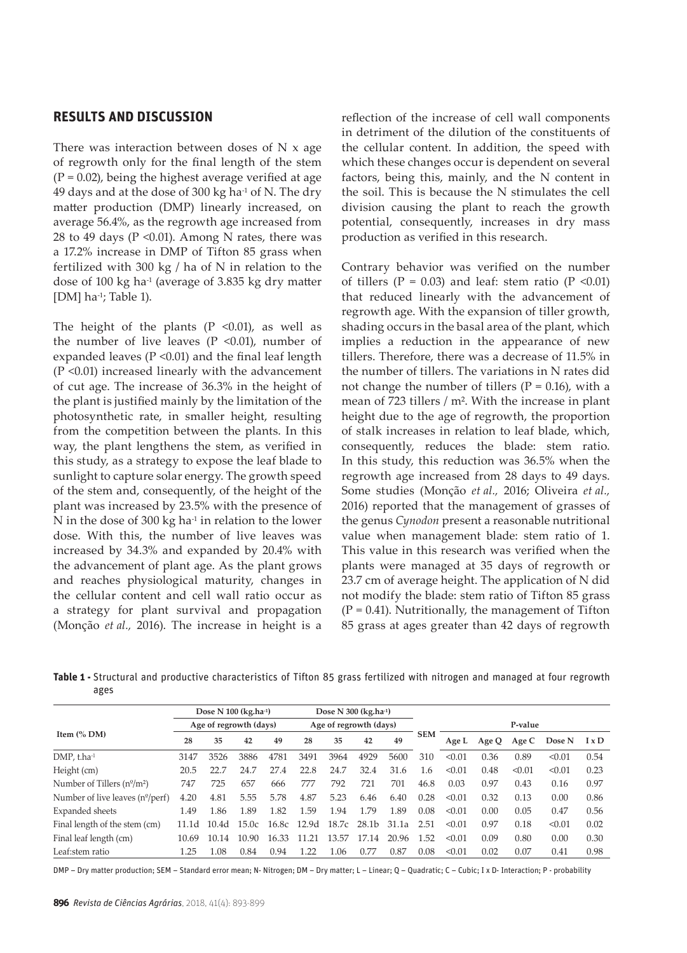#### **RESULTS AND DISCUSSION**

There was interaction between doses of  $N \times age$ of regrowth only for the final length of the stem  $(P = 0.02)$ , being the highest average verified at age 49 days and at the dose of 300 kg ha-1 of N. The dry matter production (DMP) linearly increased, on average 56.4%, as the regrowth age increased from 28 to 49 days ( $P \le 0.01$ ). Among N rates, there was a 17.2% increase in DMP of Tifton 85 grass when fertilized with 300 kg / ha of N in relation to the dose of 100 kg ha-1 (average of 3.835 kg dry matter [DM] ha-1; Table 1).

The height of the plants  $(P \le 0.01)$ , as well as the number of live leaves ( $P \le 0.01$ ), number of expanded leaves ( $P \le 0.01$ ) and the final leaf length (P <0.01) increased linearly with the advancement of cut age. The increase of 36.3% in the height of the plant is justified mainly by the limitation of the photosynthetic rate, in smaller height, resulting from the competition between the plants. In this way, the plant lengthens the stem, as verified in this study, as a strategy to expose the leaf blade to sunlight to capture solar energy. The growth speed of the stem and, consequently, of the height of the plant was increased by 23.5% with the presence of N in the dose of 300 kg ha $4$  in relation to the lower dose. With this, the number of live leaves was increased by 34.3% and expanded by 20.4% with the advancement of plant age. As the plant grows and reaches physiological maturity, changes in the cellular content and cell wall ratio occur as a strategy for plant survival and propagation (Monção *et al.,* 2016). The increase in height is a reflection of the increase of cell wall components in detriment of the dilution of the constituents of the cellular content. In addition, the speed with which these changes occur is dependent on several factors, being this, mainly, and the N content in the soil. This is because the N stimulates the cell division causing the plant to reach the growth potential, consequently, increases in dry mass production as verified in this research.

Contrary behavior was verified on the number of tillers ( $P = 0.03$ ) and leaf: stem ratio ( $P \le 0.01$ ) that reduced linearly with the advancement of regrowth age. With the expansion of tiller growth, shading occurs in the basal area of the plant, which implies a reduction in the appearance of new tillers. Therefore, there was a decrease of 11.5% in the number of tillers. The variations in N rates did not change the number of tillers ( $P = 0.16$ ), with a mean of 723 tillers / m². With the increase in plant height due to the age of regrowth, the proportion of stalk increases in relation to leaf blade, which, consequently, reduces the blade: stem ratio. In this study, this reduction was 36.5% when the regrowth age increased from 28 days to 49 days. Some studies (Monção *et al.,* 2016; Oliveira *et al.,* 2016) reported that the management of grasses of the genus *Cynodon* present a reasonable nutritional value when management blade: stem ratio of 1. This value in this research was verified when the plants were managed at 35 days of regrowth or 23.7 cm of average height. The application of N did not modify the blade: stem ratio of Tifton 85 grass  $(P = 0.41)$ . Nutritionally, the management of Tifton 85 grass at ages greater than 42 days of regrowth

**Table 1 -** Structural and productive characteristics of Tifton 85 grass fertilized with nitrogen and managed at four regrowth ages

|                                         | Dose N 100 (kg.ha-1)   |                   |       |       | Dose N 300 (kg.ha-1)   |       |       |       |            |         |       |        |        |              |  |
|-----------------------------------------|------------------------|-------------------|-------|-------|------------------------|-------|-------|-------|------------|---------|-------|--------|--------|--------------|--|
| Item $\left(\%\right)$ DM)              | Age of regrowth (days) |                   |       |       | Age of regrowth (days) |       |       |       |            | P-value |       |        |        |              |  |
|                                         | 28                     | 35                | 42    | 49    | 28                     | 35    | 42    | 49    | <b>SEM</b> | Age L   | Age Q | Age C  | Dose N | $I \times D$ |  |
| DMP, t.ha-1                             | 3147                   | 3526              | 3886  | 4781  | 3491                   | 3964  | 4929  | 5600  | 310        | < 0.01  | 0.36  | 0.89   | < 0.01 | 0.54         |  |
| Height (cm)                             | 20.5                   | 22.7              | 24.7  | 27.4  | 22.8                   | 24.7  | 32.4  | 31.6  | 1.6        | < 0.01  | 0.48  | < 0.01 | < 0.01 | 0.23         |  |
| Number of Tillers $(n^{\circ}/m^2)$     | 747                    | 725               | 657   | 666   | 777                    | 792   | 721   | 701   | 46.8       | 0.03    | 0.97  | 0.43   | 0.16   | 0.97         |  |
| Number of live leaves $(n^{\circ}/per)$ | 4.20                   | 4.81              | 5.55  | 5.78  | 4.87                   | 5.23  | 6.46  | 6.40  | 0.28       | < 0.01  | 0.32  | 0.13   | 0.00   | 0.86         |  |
| Expanded sheets                         | 1.49                   | 1.86              | 1.89  | 1.82  | 1.59                   | 1.94  | 179   | 1.89  | 0.08       | < 0.01  | 0.00  | 0.05   | 0.47   | 0.56         |  |
| Final length of the stem (cm)           | 11.1d                  | 10.4 <sub>d</sub> | 15.0c | 16.8c | 12.9d                  | 18.7c | 28.1b | 31.1a | 2.51       | < 0.01  | 0.97  | 0.18   | < 0.01 | 0.02         |  |
| Final leaf length (cm)                  | 10.69                  | 10.14             | 10.90 | 16.33 | 11.21                  | 13.57 | 1714  | 20.96 | 1.52       | < 0.01  | 0.09  | 0.80   | 0.00   | 0.30         |  |
| Leaf:stem ratio                         | 1.25                   | 1.08              | 0.84  | 0.94  | 1.22                   | 1.06  | 0.77  | 0.87  | 0.08       | < 0.01  | 0.02  | 0.07   | 0.41   | 0.98         |  |

DMP – Dry matter production; SEM – Standard error mean; N- Nitrogen; DM – Dry matter; L – Linear; Q – Quadratic; C – Cubic; I x D- Interaction; P - probability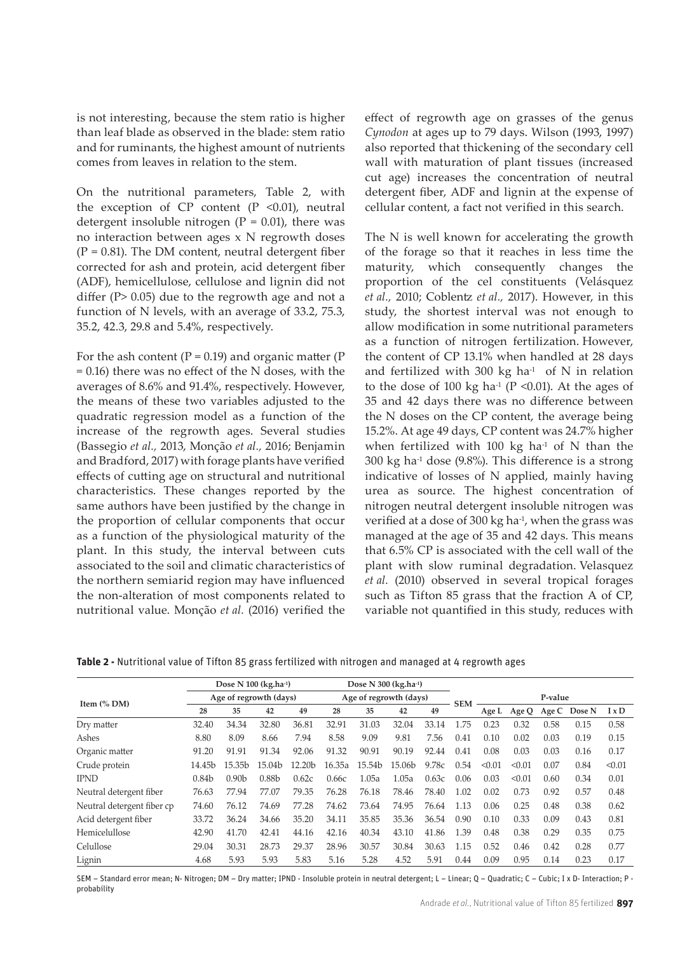is not interesting, because the stem ratio is higher than leaf blade as observed in the blade: stem ratio and for ruminants, the highest amount of nutrients comes from leaves in relation to the stem.

On the nutritional parameters, Table 2, with the exception of  $CP$  content  $(P \le 0.01)$ , neutral detergent insoluble nitrogen  $(P = 0.01)$ , there was no interaction between ages x N regrowth doses  $(P = 0.81)$ . The DM content, neutral detergent fiber corrected for ash and protein, acid detergent fiber (ADF), hemicellulose, cellulose and lignin did not differ (P> 0.05) due to the regrowth age and not a function of N levels, with an average of 33.2, 75.3, 35.2, 42.3, 29.8 and 5.4%, respectively.

For the ash content ( $P = 0.19$ ) and organic matter ( $P$ = 0.16) there was no effect of the N doses, with the averages of 8.6% and 91.4%, respectively. However, the means of these two variables adjusted to the quadratic regression model as a function of the increase of the regrowth ages. Several studies (Bassegio *et al.,* 2013, Monção *et al.,* 2016; Benjamin and Bradford, 2017) with forage plants have verified effects of cutting age on structural and nutritional characteristics. These changes reported by the same authors have been justified by the change in the proportion of cellular components that occur as a function of the physiological maturity of the plant. In this study, the interval between cuts associated to the soil and climatic characteristics of the northern semiarid region may have influenced the non-alteration of most components related to nutritional value. Monção *et al.* (2016) verified the

effect of regrowth age on grasses of the genus *Cynodon* at ages up to 79 days. Wilson (1993, 1997) also reported that thickening of the secondary cell wall with maturation of plant tissues (increased cut age) increases the concentration of neutral detergent fiber, ADF and lignin at the expense of cellular content, a fact not verified in this search.

The N is well known for accelerating the growth of the forage so that it reaches in less time the maturity, which consequently changes the proportion of the cel constituents (Velásquez *et al.,* 2010; Coblentz *et al.,* 2017). However, in this study, the shortest interval was not enough to allow modification in some nutritional parameters as a function of nitrogen fertilization. However, the content of CP 13.1% when handled at 28 days and fertilized with 300 kg ha $^{-1}$  of N in relation to the dose of 100 kg ha $-1$  (P <0.01). At the ages of 35 and 42 days there was no difference between the N doses on the CP content, the average being 15.2%. At age 49 days, CP content was 24.7% higher when fertilized with 100 kg ha $-1$  of N than the  $300 \text{ kg}$  ha<sup>-1</sup> dose (9.8%). This difference is a strong indicative of losses of N applied, mainly having urea as source. The highest concentration of nitrogen neutral detergent insoluble nitrogen was verified at a dose of 300 kg ha-1, when the grass was managed at the age of 35 and 42 days. This means that 6.5% CP is associated with the cell wall of the plant with slow ruminal degradation. Velasquez *et al.* (2010) observed in several tropical forages such as Tifton 85 grass that the fraction A of CP, variable not quantified in this study, reduces with

**Table 2 -** Nutritional value of Tifton 85 grass fertilized with nitrogen and managed at 4 regrowth ages

|                            |                        | Dose N $100$ (kg.ha $-1$ ) |                   | Dose N $300$ (kg.ha $-1$ ) |        |                        |                    |         |      |        |        |       |        |              |
|----------------------------|------------------------|----------------------------|-------------------|----------------------------|--------|------------------------|--------------------|---------|------|--------|--------|-------|--------|--------------|
| Item $\frac{6}{6}$ DM)     | Age of regrowth (days) |                            |                   |                            |        | Age of regrowth (days) | <b>SEM</b>         | P-value |      |        |        |       |        |              |
|                            | 28                     | 35                         | 42                | 49                         | 28     | 35                     | 42                 | 49      |      | Age L  | Age Q  | Age C | Dose N | $I \times D$ |
| Dry matter                 | 32.40                  | 34.34                      | 32.80             | 36.81                      | 32.91  | 31.03                  | 32.04              | 33.14   | 1.75 | 0.23   | 0.32   | 0.58  | 0.15   | 0.58         |
| Ashes                      | 8.80                   | 8.09                       | 8.66              | 7.94                       | 8.58   | 9.09                   | 9.81               | 7.56    | 0.41 | 0.10   | 0.02   | 0.03  | 0.19   | 0.15         |
| Organic matter             | 91.20                  | 91.91                      | 91.34             | 92.06                      | 91.32  | 90.91                  | 90.19              | 92.44   | 0.41 | 0.08   | 0.03   | 0.03  | 0.16   | 0.17         |
| Crude protein              | 14.45b                 | 15.35 <sub>b</sub>         | 15.04b            | 12.20b                     | 16.35a | 15.54b                 | 15.06 <sub>b</sub> | 9.78c   | 0.54 | < 0.01 | < 0.01 | 0.07  | 0.84   | < 0.01       |
| <b>IPND</b>                | 0.84 <sub>b</sub>      | 0.90 <sub>b</sub>          | 0.88 <sub>b</sub> | 0.62c                      | 0.66c  | 1.05a                  | 1.05a              | 0.63c   | 0.06 | 0.03   | < 0.01 | 0.60  | 0.34   | 0.01         |
| Neutral detergent fiber    | 76.63                  | 77.94                      | 77.07             | 79.35                      | 76.28  | 76.18                  | 78.46              | 78.40   | 1.02 | 0.02   | 0.73   | 0.92  | 0.57   | 0.48         |
| Neutral detergent fiber cp | 74.60                  | 76.12                      | 74.69             | 77.28                      | 74.62  | 73.64                  | 74.95              | 76.64   | 1.13 | 0.06   | 0.25   | 0.48  | 0.38   | 0.62         |
| Acid detergent fiber       | 33.72                  | 36.24                      | 34.66             | 35.20                      | 34.11  | 35.85                  | 35.36              | 36.54   | 0.90 | 0.10   | 0.33   | 0.09  | 0.43   | 0.81         |
| Hemicelullose              | 42.90                  | 41.70                      | 42.41             | 44.16                      | 42.16  | 40.34                  | 43.10              | 41.86   | 1.39 | 0.48   | 0.38   | 0.29  | 0.35   | 0.75         |
| Celullose                  | 29.04                  | 30.31                      | 28.73             | 29.37                      | 28.96  | 30.57                  | 30.84              | 30.63   | 1.15 | 0.52   | 0.46   | 0.42  | 0.28   | 0.77         |
| Lignin                     | 4.68                   | 5.93                       | 5.93              | 5.83                       | 5.16   | 5.28                   | 4.52               | 5.91    | 0.44 | 0.09   | 0.95   | 0.14  | 0.23   | 0.17         |

SEM - Standard error mean; N- Nitrogen; DM - Dry matter; IPND - Insoluble protein in neutral detergent; L - Linear; Q - Quadratic; C - Cubic; I x D- Interaction; P probability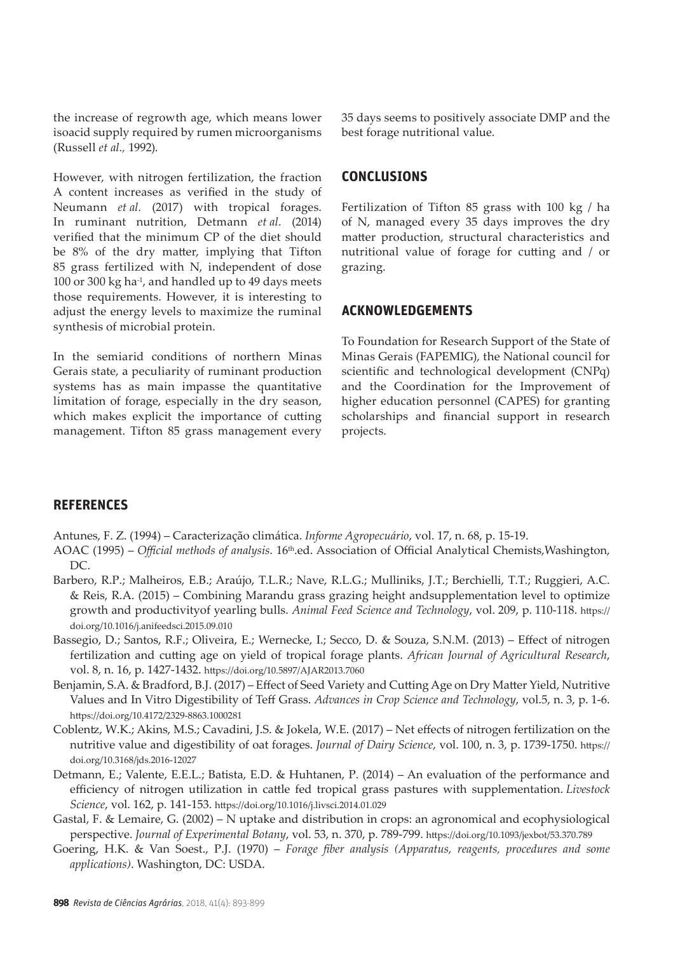the increase of regrowth age, which means lower isoacid supply required by rumen microorganisms (Russell *et al.,* 1992).

However, with nitrogen fertilization, the fraction A content increases as verified in the study of Neumann *et al.* (2017) with tropical forages. In ruminant nutrition, Detmann *et al.* (2014) verified that the minimum CP of the diet should be 8% of the dry matter, implying that Tifton 85 grass fertilized with N, independent of dose 100 or 300 kg ha-1, and handled up to 49 days meets those requirements. However, it is interesting to adjust the energy levels to maximize the ruminal synthesis of microbial protein.

In the semiarid conditions of northern Minas Gerais state, a peculiarity of ruminant production systems has as main impasse the quantitative limitation of forage, especially in the dry season, which makes explicit the importance of cutting management. Tifton 85 grass management every 35 days seems to positively associate DMP and the best forage nutritional value.

# **CONCLUSIONS**

Fertilization of Tifton 85 grass with 100 kg / ha of N, managed every 35 days improves the dry matter production, structural characteristics and nutritional value of forage for cutting and / or grazing.

#### **ACKNOWLEDGEMENTS**

To Foundation for Research Support of the State of Minas Gerais (FAPEMIG), the National council for scientific and technological development (CNPq) and the Coordination for the Improvement of higher education personnel (CAPES) for granting scholarships and financial support in research projects.

#### **REFERENCES**

Antunes, F. Z. (1994) – Caracterização climática. *Informe Agropecuário*, vol. 17, n. 68, p. 15-19.

- AOAC (1995) *Official methods of analysis*. 16th.ed. Association of Official Analytical Chemists,Washington, DC.
- Barbero, R.P.; Malheiros, E.B.; Araújo, T.L.R.; Nave, R.L.G.; Mulliniks, J.T.; Berchielli, T.T.; Ruggieri, A.C. & Reis, R.A. (2015) – Combining Marandu grass grazing height andsupplementation level to optimize growth and productivityof yearling bulls. *Animal Feed Science and Technology*, vol. 209, p. 110-118. https:// doi.org/10.1016/j.anifeedsci.2015.09.010
- Bassegio, D.; Santos, R.F.; Oliveira, E.; Wernecke, I.; Secco, D. & Souza, S.N.M. (2013) Effect of nitrogen fertilization and cutting age on yield of tropical forage plants. *African Journal of Agricultural Research*, vol. 8, n. 16, p. 1427-1432. https://doi.org/10.5897/AJAR2013.7060
- Benjamin, S.A. & Bradford, B.J. (2017) Effect of Seed Variety and Cutting Age on Dry Matter Yield, Nutritive Values and In Vitro Digestibility of Teff Grass. *Advances in Crop Science and Technology*, vol.5, n. 3, p. 1-6. https://doi.org/10.4172/2329-8863.1000281
- Coblentz, W.K.; Akins, M.S.; Cavadini, J.S. & Jokela, W.E. (2017) Net effects of nitrogen fertilization on the nutritive value and digestibility of oat forages. *Journal of Dairy Science*, vol. 100, n. 3, p. 1739-1750. https:// doi.org/10.3168/jds.2016-12027
- Detmann, E.; Valente, E.E.L.; Batista, E.D. & Huhtanen, P. (2014) An evaluation of the performance and efficiency of nitrogen utilization in cattle fed tropical grass pastures with supplementation. *Livestock Science*, vol. 162, p. 141-153. https://doi.org/10.1016/j.livsci.2014.01.029
- Gastal, F. & Lemaire, G. (2002) N uptake and distribution in crops: an agronomical and ecophysiological perspective. *Journal of Experimental Botany*, vol. 53, n. 370, p. 789-799. https://doi.org/10.1093/jexbot/53.370.789
- Goering, H.K. & Van Soest., P.J. (1970) *Forage fiber analysis (Apparatus, reagents, procedures and some applications)*. Washington, DC: USDA.